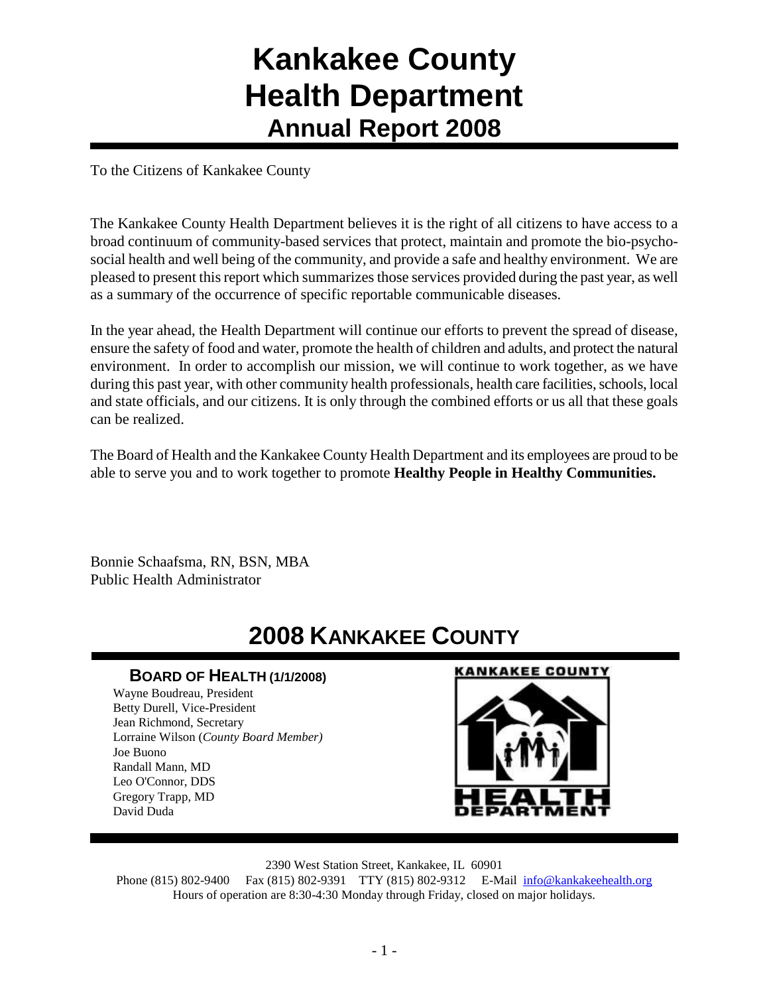# **Kankakee County Health Department Annual Report 2008**

To the Citizens of Kankakee County

The Kankakee County Health Department believes it is the right of all citizens to have access to a broad continuum of community-based services that protect, maintain and promote the bio-psychosocial health and well being of the community, and provide a safe and healthy environment. We are pleased to present this report which summarizes those services provided during the past year, as well as a summary of the occurrence of specific reportable communicable diseases.

In the year ahead, the Health Department will continue our efforts to prevent the spread of disease, ensure the safety of food and water, promote the health of children and adults, and protect the natural environment. In order to accomplish our mission, we will continue to work together, as we have during this past year, with other community health professionals, health care facilities, schools, local and state officials, and our citizens. It is only through the combined efforts or us all that these goals can be realized.

The Board of Health and the Kankakee County Health Department and its employees are proud to be able to serve you and to work together to promote **Healthy People in Healthy Communities.**

Bonnie Schaafsma, RN, BSN, MBA Public Health Administrator

# **2008 KANKAKEE COUNTY**

### **BOARD OF HEALTH (1/1/2008)**

Wayne Boudreau, President Betty Durell, Vice-President Jean Richmond, Secretary Lorraine Wilson (*County Board Member)* Joe Buono Randall Mann, MD Leo O'Connor, DDS Gregory Trapp, MD David Duda

### **KANKAKEE COUNTY**



2390 West Station Street, Kankakee, IL 60901

Phone (815) 802-9400 Fax (815) 802-9391 TTY (815) 802-9312 E-Mail [info@kankakeehealth.org](mailto:pkankake@idphnet.com) Hours of operation are 8:30-4:30 Monday through Friday, closed on major holidays.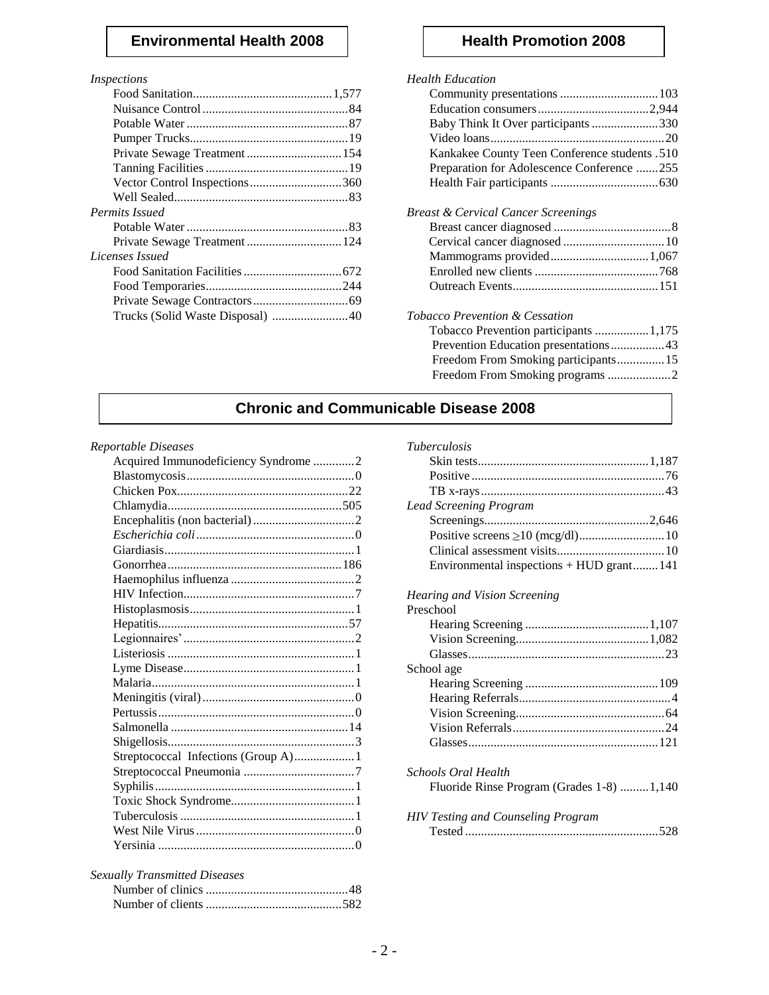### **Environmental Health 2008** | **Health Promotion 2008**

### *Inspections*

| <b>Permits Issued</b>         |  |
|-------------------------------|--|
|                               |  |
| Private Sewage Treatment  124 |  |
| Licenses Issued               |  |
|                               |  |
|                               |  |
|                               |  |
|                               |  |
|                               |  |

### *Health Education*

| пеции папсанон                                                                                                                                                                                                                                                                                                                       |
|--------------------------------------------------------------------------------------------------------------------------------------------------------------------------------------------------------------------------------------------------------------------------------------------------------------------------------------|
|                                                                                                                                                                                                                                                                                                                                      |
|                                                                                                                                                                                                                                                                                                                                      |
| Baby Think It Over participants330                                                                                                                                                                                                                                                                                                   |
|                                                                                                                                                                                                                                                                                                                                      |
| Kankakee County Teen Conference students .510                                                                                                                                                                                                                                                                                        |
| Preparation for Adolescence Conference 255                                                                                                                                                                                                                                                                                           |
|                                                                                                                                                                                                                                                                                                                                      |
| Breast & Cervical Cancer Screenings                                                                                                                                                                                                                                                                                                  |
|                                                                                                                                                                                                                                                                                                                                      |
|                                                                                                                                                                                                                                                                                                                                      |
|                                                                                                                                                                                                                                                                                                                                      |
|                                                                                                                                                                                                                                                                                                                                      |
|                                                                                                                                                                                                                                                                                                                                      |
| Tobacco Prevention & Cessation                                                                                                                                                                                                                                                                                                       |
| 1.177<br>$\mathbf{m}$ and $\mathbf{n}$ and $\mathbf{n}$ and $\mathbf{n}$ and $\mathbf{n}$ and $\mathbf{n}$ and $\mathbf{n}$ and $\mathbf{n}$ and $\mathbf{n}$ and $\mathbf{n}$ and $\mathbf{n}$ and $\mathbf{n}$ and $\mathbf{n}$ and $\mathbf{n}$ and $\mathbf{n}$ and $\mathbf{n}$ and $\mathbf{n}$ and $\mathbf{n}$ and $\mathbf$ |

### Tobacco Prevention participants .................1,175 Prevention Education presentations.................43

| 110, 0110011 Button provincia che illustratti di le |  |
|-----------------------------------------------------|--|
| Freedom From Smoking participants 15                |  |
|                                                     |  |

## **Chronic and Communicable Disease 2008**

### *Reportable Diseases*

| Acquired Immunodeficiency Syndrome 2 |  |
|--------------------------------------|--|
|                                      |  |
|                                      |  |
|                                      |  |
|                                      |  |
|                                      |  |
|                                      |  |
|                                      |  |
|                                      |  |
|                                      |  |
|                                      |  |
|                                      |  |
|                                      |  |
|                                      |  |
|                                      |  |
|                                      |  |
|                                      |  |
|                                      |  |
|                                      |  |
|                                      |  |
| Streptococcal Infections (Group A)1  |  |
|                                      |  |
|                                      |  |
|                                      |  |
|                                      |  |
|                                      |  |
|                                      |  |
|                                      |  |

### *Sexually Transmitted Diseases*

### *Tuberculosis*

| <b>Lead Screening Program</b>            |  |
|------------------------------------------|--|
|                                          |  |
|                                          |  |
|                                          |  |
| Environmental inspections + HUD grant141 |  |

### *Hearing and Vision Screening*

| Preschool                                 |
|-------------------------------------------|
|                                           |
|                                           |
|                                           |
| School age                                |
|                                           |
|                                           |
|                                           |
|                                           |
|                                           |
| Schools Oral Health                       |
| Fluoride Rinse Program (Grades 1-8) 1,140 |
| <b>HIV Testing and Counseling Program</b> |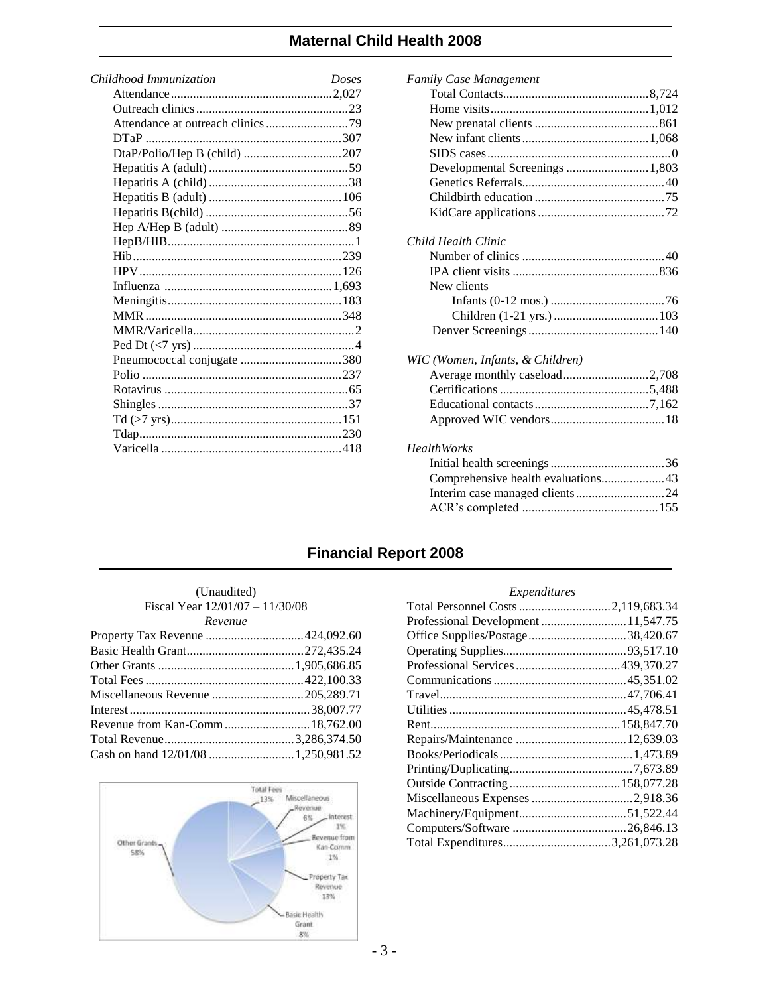## **Maternal Child Health 2008**

| Childhood Immunization       | Doses |
|------------------------------|-------|
|                              |       |
|                              |       |
|                              |       |
|                              |       |
| DtaP/Polio/Hep B (child) 207 |       |
|                              |       |
|                              |       |
|                              |       |
|                              |       |
|                              |       |
|                              |       |
|                              |       |
|                              |       |
|                              |       |
|                              |       |
|                              |       |
|                              |       |
|                              |       |
| Pneumococcal conjugate 380   |       |
|                              |       |
|                              |       |
|                              |       |
|                              |       |
|                              |       |
|                              |       |
|                              |       |

| <b>Family Case Management</b>      |
|------------------------------------|
|                                    |
|                                    |
|                                    |
|                                    |
|                                    |
| Developmental Screenings  1,803    |
|                                    |
|                                    |
|                                    |
|                                    |
| Child Health Clinic                |
|                                    |
|                                    |
| New clients                        |
|                                    |
|                                    |
|                                    |
| WIC (Women, Infants, & Children)   |
| Average monthly caseload2,708      |
|                                    |
|                                    |
|                                    |
| <b>HealthWorks</b>                 |
|                                    |
| Comprehensive health evaluations43 |
|                                    |
|                                    |
|                                    |

# **Financial Report 2008**

| (Unaudited)                     |  |
|---------------------------------|--|
| Fiscal Year 12/01/07 – 11/30/08 |  |
| Revenue                         |  |



### *Expenditures*

| Total Personnel Costs 2,119,683.34 |  |
|------------------------------------|--|
|                                    |  |
| Office Supplies/Postage38,420.67   |  |
|                                    |  |
|                                    |  |
|                                    |  |
|                                    |  |
|                                    |  |
|                                    |  |
|                                    |  |
|                                    |  |
|                                    |  |
|                                    |  |
|                                    |  |
|                                    |  |
|                                    |  |
| Total Expenditures3,261,073.28     |  |
|                                    |  |